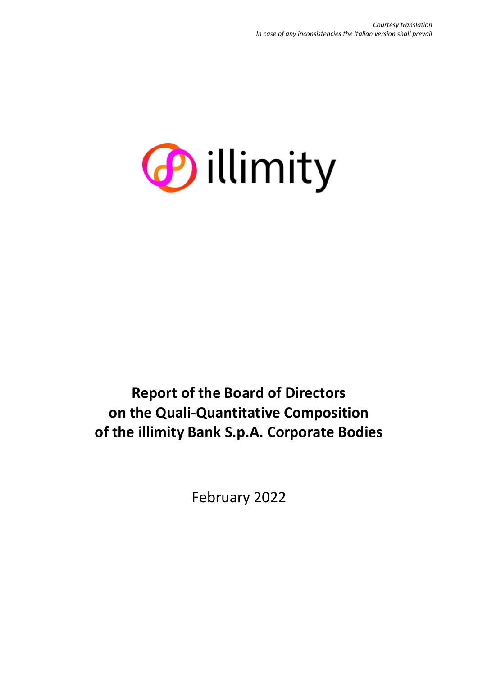

**Report of the Board of Directors on the Quali-Quantitative Composition of the illimity Bank S.p.A. Corporate Bodies**

February 2022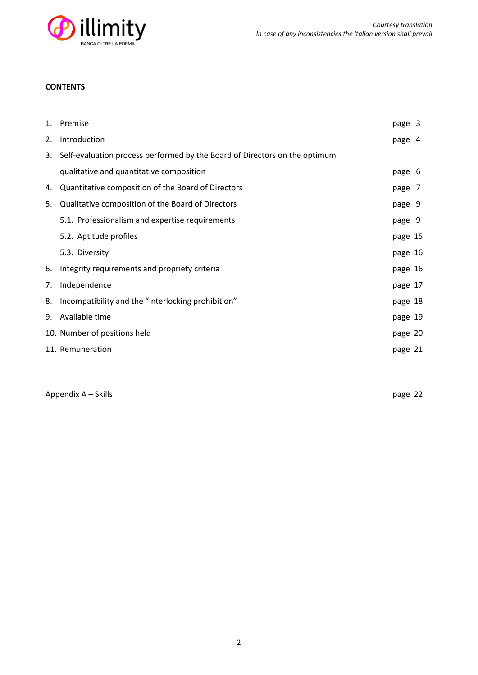

# **CONTENTS**

|    | 1. Premise                                                                 | page 3  |  |
|----|----------------------------------------------------------------------------|---------|--|
| 2. | Introduction                                                               | page 4  |  |
| 3. | Self-evaluation process performed by the Board of Directors on the optimum |         |  |
|    | qualitative and quantitative composition                                   | page 6  |  |
| 4. | Quantitative composition of the Board of Directors                         | page 7  |  |
| 5. | Qualitative composition of the Board of Directors                          | page 9  |  |
|    | 5.1. Professionalism and expertise requirements                            | page 9  |  |
|    | 5.2. Aptitude profiles                                                     | page 15 |  |
|    | 5.3. Diversity                                                             | page 16 |  |
| 6. | Integrity requirements and propriety criteria                              | page 16 |  |
| 7. | Independence                                                               | page 17 |  |
| 8. | Incompatibility and the "interlocking prohibition"                         | page 18 |  |
| 9. | Available time                                                             | page 19 |  |
|    | 10. Number of positions held                                               | page 20 |  |
|    | 11. Remuneration                                                           | page 21 |  |
|    |                                                                            |         |  |

Appendix A – Skills page 22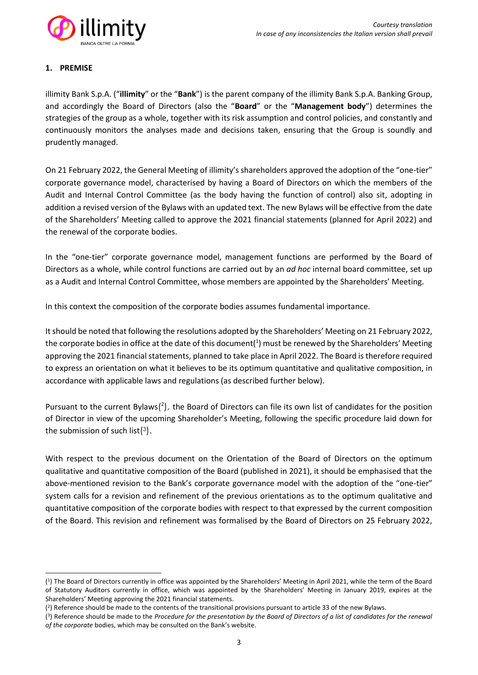

# **1. PREMISE**

illimity Bank S.p.A. ("**illimity**" or the "**Bank**") is the parent company of the illimity Bank S.p.A. Banking Group, and accordingly the Board of Directors (also the "**Board**" or the "**Management body**") determines the strategies of the group as a whole, together with its risk assumption and control policies, and constantly and continuously monitors the analyses made and decisions taken, ensuring that the Group is soundly and prudently managed.

On 21 February 2022, the General Meeting of illimity's shareholders approved the adoption of the "one-tier" corporate governance model, characterised by having a Board of Directors on which the members of the Audit and Internal Control Committee (as the body having the function of control) also sit, adopting in addition a revised version of the Bylaws with an updated text. The new Bylaws will be effective from the date of the Shareholders' Meeting called to approve the 2021 financial statements (planned for April 2022) and the renewal of the corporate bodies.

In the "one-tier" corporate governance model, management functions are performed by the Board of Directors as a whole, while control functions are carried out by an *ad hoc* internal board committee, set up as a Audit and Internal Control Committee, whose members are appointed by the Shareholders' Meeting.

In this context the composition of the corporate bodies assumes fundamental importance.

It should be noted that following the resolutions adopted by the Shareholders' Meeting on 21 February 2022, the corporate bodies in office at the date of this document( $1$ ) must be renewed by the Shareholders' Meeting approving the 2021 financial statements, planned to take place in April 2022. The Board is therefore required to express an orientation on what it believes to be its optimum quantitative and qualitative composition, in accordance with applicable laws and regulations (as described further below).

Pursuant to the current Bylaws $(^2)$ , the Board of Directors can file its own list of candidates for the position of Director in view of the upcoming Shareholder's Meeting, following the specific procedure laid down for the submission of such list $(3)$ .

With respect to the previous document on the Orientation of the Board of Directors on the optimum qualitative and quantitative composition of the Board (published in 2021), it should be emphasised that the above-mentioned revision to the Bank's corporate governance model with the adoption of the "one-tier" system calls for a revision and refinement of the previous orientations as to the optimum qualitative and quantitative composition of the corporate bodies with respect to that expressed by the current composition of the Board. This revision and refinement was formalised by the Board of Directors on 25 February 2022,

<sup>(</sup> 1 ) The Board of Directors currently in office was appointed by the Shareholders' Meeting in April 2021, while the term of the Board of Statutory Auditors currently in office, which was appointed by the Shareholders' Meeting in January 2019, expires at the Shareholders' Meeting approving the 2021 financial statements.

<sup>(</sup> 2 ) Reference should be made to the contents of the transitional provisions pursuant to article 33 of the new Bylaws.

<sup>(</sup> 3 ) Reference should be made to the *Procedure for the presentation by the Board of Directors of a list of candidates for the renewal of the corporate* bodies, which may be consulted on the Bank's website.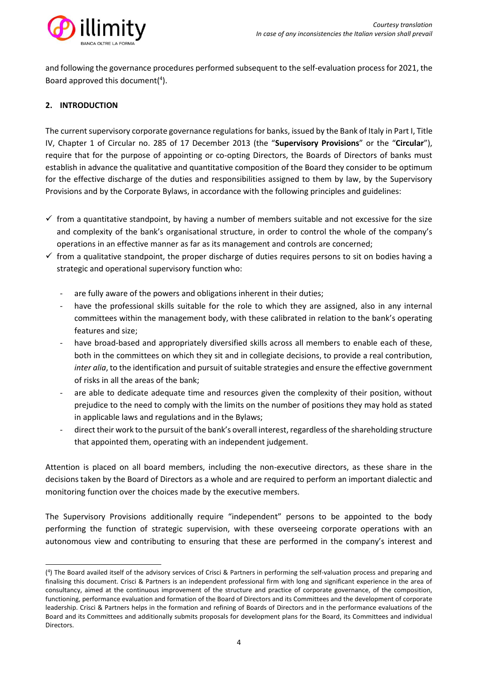

and following the governance procedures performed subsequent to the self-evaluation process for 2021, the Board approved this document( 4 ).

# **2. INTRODUCTION**

The current supervisory corporate governance regulations for banks, issued by the Bank of Italy in Part I, Title IV, Chapter 1 of Circular no. 285 of 17 December 2013 (the "**Supervisory Provisions**" or the "**Circular**"), require that for the purpose of appointing or co-opting Directors, the Boards of Directors of banks must establish in advance the qualitative and quantitative composition of the Board they consider to be optimum for the effective discharge of the duties and responsibilities assigned to them by law, by the Supervisory Provisions and by the Corporate Bylaws, in accordance with the following principles and guidelines:

- $\checkmark$  from a quantitative standpoint, by having a number of members suitable and not excessive for the size and complexity of the bank's organisational structure, in order to control the whole of the company's operations in an effective manner as far as its management and controls are concerned;
- $\checkmark$  from a qualitative standpoint, the proper discharge of duties requires persons to sit on bodies having a strategic and operational supervisory function who:
	- are fully aware of the powers and obligations inherent in their duties;
	- have the professional skills suitable for the role to which they are assigned, also in any internal committees within the management body, with these calibrated in relation to the bank's operating features and size;
	- have broad-based and appropriately diversified skills across all members to enable each of these, both in the committees on which they sit and in collegiate decisions, to provide a real contribution, *inter alia*, to the identification and pursuit of suitable strategies and ensure the effective government of risks in all the areas of the bank;
	- are able to dedicate adequate time and resources given the complexity of their position, without prejudice to the need to comply with the limits on the number of positions they may hold as stated in applicable laws and regulations and in the Bylaws;
	- direct their work to the pursuit of the bank's overall interest, regardless of the shareholding structure that appointed them, operating with an independent judgement.

Attention is placed on all board members, including the non-executive directors, as these share in the decisions taken by the Board of Directors as a whole and are required to perform an important dialectic and monitoring function over the choices made by the executive members.

The Supervisory Provisions additionally require "independent" persons to be appointed to the body performing the function of strategic supervision, with these overseeing corporate operations with an autonomous view and contributing to ensuring that these are performed in the company's interest and

<sup>(</sup> 4 ) The Board availed itself of the advisory services of Crisci & Partners in performing the self-valuation process and preparing and finalising this document. Crisci & Partners is an independent professional firm with long and significant experience in the area of consultancy, aimed at the continuous improvement of the structure and practice of corporate governance, of the composition, functioning, performance evaluation and formation of the Board of Directors and its Committees and the development of corporate leadership. Crisci & Partners helps in the formation and refining of Boards of Directors and in the performance evaluations of the Board and its Committees and additionally submits proposals for development plans for the Board, its Committees and individual Directors.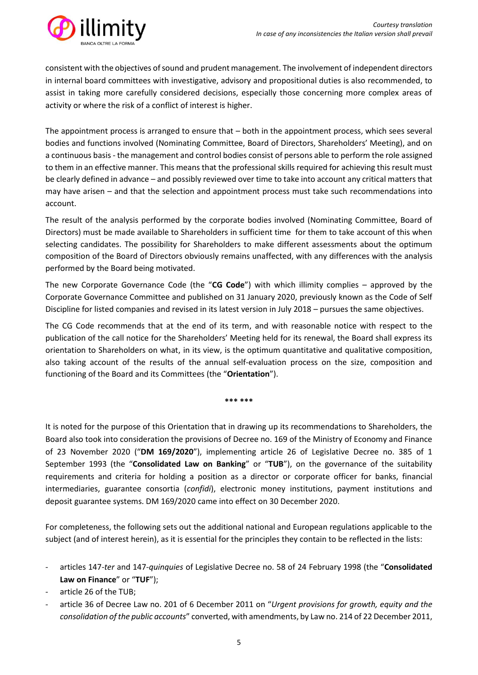

consistent with the objectives of sound and prudent management. The involvement of independent directors in internal board committees with investigative, advisory and propositional duties is also recommended, to assist in taking more carefully considered decisions, especially those concerning more complex areas of activity or where the risk of a conflict of interest is higher.

The appointment process is arranged to ensure that – both in the appointment process, which sees several bodies and functions involved (Nominating Committee, Board of Directors, Shareholders' Meeting), and on a continuous basis - the management and control bodies consist of persons able to perform the role assigned to them in an effective manner. This means that the professional skills required for achieving this result must be clearly defined in advance – and possibly reviewed over time to take into account any critical matters that may have arisen – and that the selection and appointment process must take such recommendations into account.

The result of the analysis performed by the corporate bodies involved (Nominating Committee, Board of Directors) must be made available to Shareholders in sufficient time for them to take account of this when selecting candidates. The possibility for Shareholders to make different assessments about the optimum composition of the Board of Directors obviously remains unaffected, with any differences with the analysis performed by the Board being motivated.

The new Corporate Governance Code (the "**CG Code**") with which illimity complies – approved by the Corporate Governance Committee and published on 31 January 2020, previously known as the Code of Self Discipline for listed companies and revised in its latest version in July 2018 – pursues the same objectives.

The CG Code recommends that at the end of its term, and with reasonable notice with respect to the publication of the call notice for the Shareholders' Meeting held for its renewal, the Board shall express its orientation to Shareholders on what, in its view, is the optimum quantitative and qualitative composition, also taking account of the results of the annual self-evaluation process on the size, composition and functioning of the Board and its Committees (the "**Orientation**").

**\*\*\* \*\*\***

It is noted for the purpose of this Orientation that in drawing up its recommendations to Shareholders, the Board also took into consideration the provisions of Decree no. 169 of the Ministry of Economy and Finance of 23 November 2020 ("**DM 169/2020**"), implementing article 26 of Legislative Decree no. 385 of 1 September 1993 (the "**Consolidated Law on Banking**" or "**TUB**"), on the governance of the suitability requirements and criteria for holding a position as a director or corporate officer for banks, financial intermediaries, guarantee consortia (*confidi*), electronic money institutions, payment institutions and deposit guarantee systems. DM 169/2020 came into effect on 30 December 2020.

For completeness, the following sets out the additional national and European regulations applicable to the subject (and of interest herein), as it is essential for the principles they contain to be reflected in the lists:

- articles 147-*ter* and 147-*quinquies* of Legislative Decree no. 58 of 24 February 1998 (the "**Consolidated Law on Finance**" or "**TUF**");
- article 26 of the TUB:
- article 36 of Decree Law no. 201 of 6 December 2011 on "*Urgent provisions for growth, equity and the consolidation of the public accounts*" converted, with amendments, by Law no. 214 of 22 December 2011,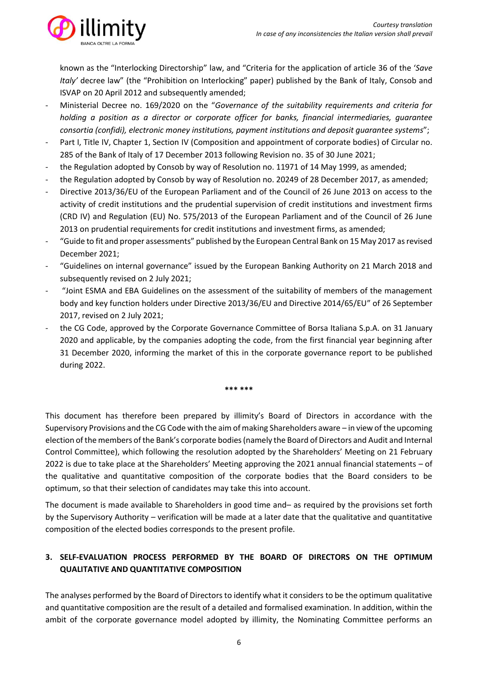

known as the "Interlocking Directorship" law, and "Criteria for the application of article 36 of the '*Save Italy'* decree law" (the "Prohibition on Interlocking" paper) published by the Bank of Italy, Consob and ISVAP on 20 April 2012 and subsequently amended;

- Ministerial Decree no. 169/2020 on the "*Governance of the suitability requirements and criteria for holding a position as a director or corporate officer for banks, financial intermediaries, guarantee consortia (confidi), electronic money institutions, payment institutions and deposit guarantee systems*";
- Part I, Title IV, Chapter 1, Section IV (Composition and appointment of corporate bodies) of Circular no. 285 of the Bank of Italy of 17 December 2013 following Revision no. 35 of 30 June 2021;
- the Regulation adopted by Consob by way of Resolution no. 11971 of 14 May 1999, as amended;
- the Regulation adopted by Consob by way of Resolution no. 20249 of 28 December 2017, as amended;
- Directive 2013/36/EU of the European Parliament and of the Council of 26 June 2013 on access to the activity of credit institutions and the prudential supervision of credit institutions and investment firms (CRD IV) and Regulation (EU) No. 575/2013 of the European Parliament and of the Council of 26 June 2013 on prudential requirements for credit institutions and investment firms, as amended;
- "Guide to fit and proper assessments" published by the European Central Bank on 15 May 2017 as revised December 2021;
- "Guidelines on internal governance" issued by the European Banking Authority on 21 March 2018 and subsequently revised on 2 July 2021;
- "Joint ESMA and EBA Guidelines on the assessment of the suitability of members of the management body and key function holders under Directive 2013/36/EU and Directive 2014/65/EU" of 26 September 2017, revised on 2 July 2021;
- the CG Code, approved by the Corporate Governance Committee of Borsa Italiana S.p.A. on 31 January 2020 and applicable, by the companies adopting the code, from the first financial year beginning after 31 December 2020, informing the market of this in the corporate governance report to be published during 2022.

**\*\*\* \*\*\***

This document has therefore been prepared by illimity's Board of Directors in accordance with the Supervisory Provisions and the CG Code with the aim of making Shareholders aware – in view of the upcoming election of the members of the Bank's corporate bodies (namely the Board of Directors and Audit and Internal Control Committee), which following the resolution adopted by the Shareholders' Meeting on 21 February 2022 is due to take place at the Shareholders' Meeting approving the 2021 annual financial statements – of the qualitative and quantitative composition of the corporate bodies that the Board considers to be optimum, so that their selection of candidates may take this into account.

The document is made available to Shareholders in good time and– as required by the provisions set forth by the Supervisory Authority – verification will be made at a later date that the qualitative and quantitative composition of the elected bodies corresponds to the present profile.

# **3. SELF-EVALUATION PROCESS PERFORMED BY THE BOARD OF DIRECTORS ON THE OPTIMUM QUALITATIVE AND QUANTITATIVE COMPOSITION**

The analyses performed by the Board of Directors to identify what it considers to be the optimum qualitative and quantitative composition are the result of a detailed and formalised examination. In addition, within the ambit of the corporate governance model adopted by illimity, the Nominating Committee performs an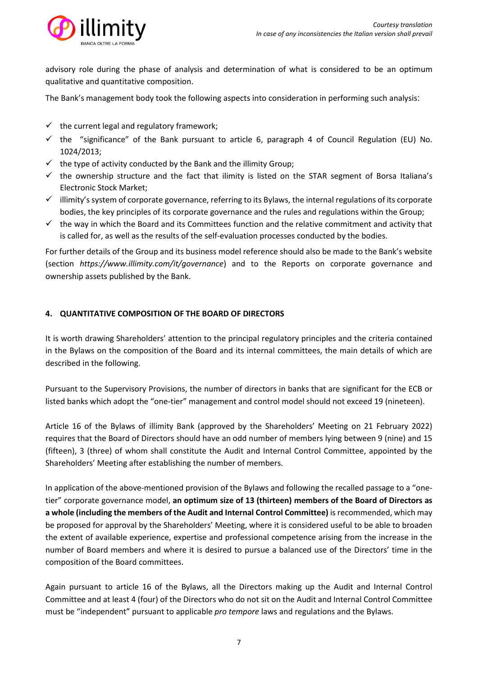

advisory role during the phase of analysis and determination of what is considered to be an optimum qualitative and quantitative composition.

The Bank's management body took the following aspects into consideration in performing such analysis:

- $\checkmark$  the current legal and regulatory framework;
- $\checkmark$  the "significance" of the Bank pursuant to article 6, paragraph 4 of Council Regulation (EU) No. 1024/2013;
- $\checkmark$  the type of activity conducted by the Bank and the illimity Group:
- $\checkmark$  the ownership structure and the fact that ilimity is listed on the STAR segment of Borsa Italiana's Electronic Stock Market;
- $\checkmark$  illimity's system of corporate governance, referring to its Bylaws, the internal regulations of its corporate bodies, the key principles of its corporate governance and the rules and regulations within the Group;
- $\checkmark$  the way in which the Board and its Committees function and the relative commitment and activity that is called for, as well as the results of the self-evaluation processes conducted by the bodies.

For further details of the Group and its business model reference should also be made to the Bank's website (section *<https://www.illimity.com/it/governance>*) and to the Reports on corporate governance and ownership assets published by the Bank.

# **4. QUANTITATIVE COMPOSITION OF THE BOARD OF DIRECTORS**

It is worth drawing Shareholders' attention to the principal regulatory principles and the criteria contained in the Bylaws on the composition of the Board and its internal committees, the main details of which are described in the following.

Pursuant to the Supervisory Provisions, the number of directors in banks that are significant for the ECB or listed banks which adopt the "one-tier" management and control model should not exceed 19 (nineteen).

Article 16 of the Bylaws of illimity Bank (approved by the Shareholders' Meeting on 21 February 2022) requires that the Board of Directors should have an odd number of members lying between 9 (nine) and 15 (fifteen), 3 (three) of whom shall constitute the Audit and Internal Control Committee, appointed by the Shareholders' Meeting after establishing the number of members.

In application of the above-mentioned provision of the Bylaws and following the recalled passage to a "onetier" corporate governance model, **an optimum size of 13 (thirteen) members of the Board of Directors as a whole (including the members of the Audit and Internal Control Committee)** is recommended, which may be proposed for approval by the Shareholders' Meeting, where it is considered useful to be able to broaden the extent of available experience, expertise and professional competence arising from the increase in the number of Board members and where it is desired to pursue a balanced use of the Directors' time in the composition of the Board committees.

Again pursuant to article 16 of the Bylaws, all the Directors making up the Audit and Internal Control Committee and at least 4 (four) of the Directors who do not sit on the Audit and Internal Control Committee must be "independent" pursuant to applicable *pro tempore* laws and regulations and the Bylaws.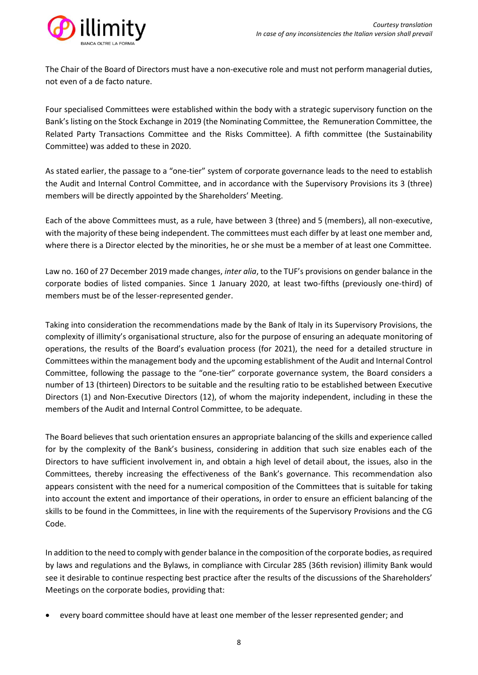

The Chair of the Board of Directors must have a non-executive role and must not perform managerial duties, not even of a de facto nature.

Four specialised Committees were established within the body with a strategic supervisory function on the Bank's listing on the Stock Exchange in 2019 (the Nominating Committee, the Remuneration Committee, the Related Party Transactions Committee and the Risks Committee). A fifth committee (the Sustainability Committee) was added to these in 2020.

As stated earlier, the passage to a "one-tier" system of corporate governance leads to the need to establish the Audit and Internal Control Committee, and in accordance with the Supervisory Provisions its 3 (three) members will be directly appointed by the Shareholders' Meeting.

Each of the above Committees must, as a rule, have between 3 (three) and 5 (members), all non-executive, with the majority of these being independent. The committees must each differ by at least one member and, where there is a Director elected by the minorities, he or she must be a member of at least one Committee.

Law no. 160 of 27 December 2019 made changes, *inter alia*, to the TUF's provisions on gender balance in the corporate bodies of listed companies. Since 1 January 2020, at least two-fifths (previously one-third) of members must be of the lesser-represented gender.

Taking into consideration the recommendations made by the Bank of Italy in its Supervisory Provisions, the complexity of illimity's organisational structure, also for the purpose of ensuring an adequate monitoring of operations, the results of the Board's evaluation process (for 2021), the need for a detailed structure in Committees within the management body and the upcoming establishment of the Audit and Internal Control Committee, following the passage to the "one-tier" corporate governance system, the Board considers a number of 13 (thirteen) Directors to be suitable and the resulting ratio to be established between Executive Directors (1) and Non-Executive Directors (12), of whom the majority independent, including in these the members of the Audit and Internal Control Committee, to be adequate.

The Board believes that such orientation ensures an appropriate balancing of the skills and experience called for by the complexity of the Bank's business, considering in addition that such size enables each of the Directors to have sufficient involvement in, and obtain a high level of detail about, the issues, also in the Committees, thereby increasing the effectiveness of the Bank's governance. This recommendation also appears consistent with the need for a numerical composition of the Committees that is suitable for taking into account the extent and importance of their operations, in order to ensure an efficient balancing of the skills to be found in the Committees, in line with the requirements of the Supervisory Provisions and the CG Code.

In addition to the need to comply with gender balance in the composition of the corporate bodies, as required by laws and regulations and the Bylaws, in compliance with Circular 285 (36th revision) illimity Bank would see it desirable to continue respecting best practice after the results of the discussions of the Shareholders' Meetings on the corporate bodies, providing that:

• every board committee should have at least one member of the lesser represented gender; and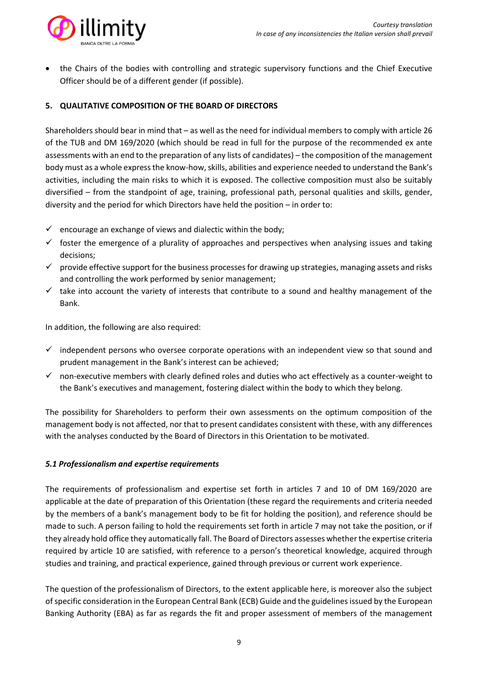

• the Chairs of the bodies with controlling and strategic supervisory functions and the Chief Executive Officer should be of a different gender (if possible).

# **5. QUALITATIVE COMPOSITION OF THE BOARD OF DIRECTORS**

Shareholders should bear in mind that – as well as the need for individual members to comply with article 26 of the TUB and DM 169/2020 (which should be read in full for the purpose of the recommended ex ante assessments with an end to the preparation of any lists of candidates) – the composition of the management body must as a whole express the know-how, skills, abilities and experience needed to understand the Bank's activities, including the main risks to which it is exposed. The collective composition must also be suitably diversified – from the standpoint of age, training, professional path, personal qualities and skills, gender, diversity and the period for which Directors have held the position – in order to:

- $\checkmark$  encourage an exchange of views and dialectic within the body;
- $\checkmark$  foster the emergence of a plurality of approaches and perspectives when analysing issues and taking decisions;
- $\checkmark$  provide effective support for the business processes for drawing up strategies, managing assets and risks and controlling the work performed by senior management;
- $\checkmark$  take into account the variety of interests that contribute to a sound and healthy management of the Bank.

In addition, the following are also required:

- $\checkmark$  independent persons who oversee corporate operations with an independent view so that sound and prudent management in the Bank's interest can be achieved;
- $\checkmark$  non-executive members with clearly defined roles and duties who act effectively as a counter-weight to the Bank's executives and management, fostering dialect within the body to which they belong.

The possibility for Shareholders to perform their own assessments on the optimum composition of the management body is not affected, nor that to present candidates consistent with these, with any differences with the analyses conducted by the Board of Directors in this Orientation to be motivated.

# *5.1 Professionalism and expertise requirements*

The requirements of professionalism and expertise set forth in articles 7 and 10 of DM 169/2020 are applicable at the date of preparation of this Orientation (these regard the requirements and criteria needed by the members of a bank's management body to be fit for holding the position), and reference should be made to such. A person failing to hold the requirements set forth in article 7 may not take the position, or if they already hold office they automatically fall. The Board of Directors assesses whether the expertise criteria required by article 10 are satisfied, with reference to a person's theoretical knowledge, acquired through studies and training, and practical experience, gained through previous or current work experience.

The question of the professionalism of Directors, to the extent applicable here, is moreover also the subject of specific consideration in the European Central Bank (ECB) Guide and the guidelines issued by the European Banking Authority (EBA) as far as regards the fit and proper assessment of members of the management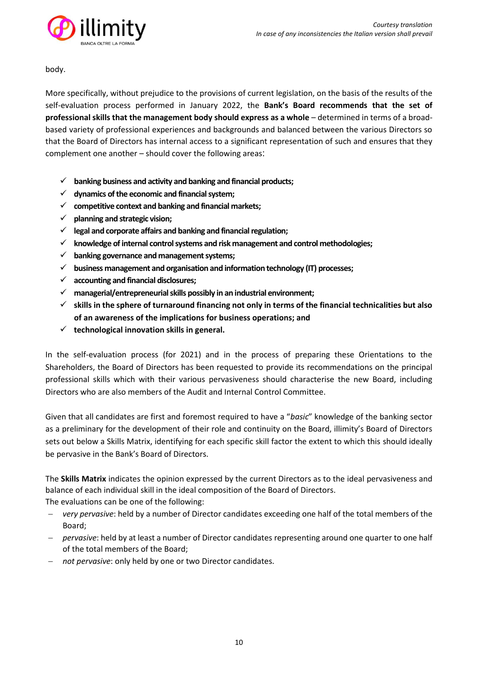

body.

More specifically, without prejudice to the provisions of current legislation, on the basis of the results of the self-evaluation process performed in January 2022, the **Bank's Board recommends that the set of professional skills that the management body should express as a whole** – determined in terms of a broadbased variety of professional experiences and backgrounds and balanced between the various Directors so that the Board of Directors has internal access to a significant representation of such and ensures that they complement one another – should cover the following areas:

- ✓ **banking business and activity and banking and financial products;**
- ✓ **dynamics of the economic and financial system;**
- ✓ **competitive context and banking and financial markets;**
- ✓ **planning and strategic vision;**
- ✓ **legal and corporate affairs and banking and financial regulation;**
- ✓ **knowledge of internal control systems and risk management and control methodologies;**
- ✓ **banking governance and management systems;**
- ✓ **business management and organisation and information technology (IT) processes;**
- ✓ **accounting and financial disclosures;**
- ✓ **managerial/entrepreneurial skills possibly in an industrial environment;**
- ✓ **skills in the sphere of turnaround financing not only in terms of the financial technicalities but also of an awareness of the implications for business operations; and**
- ✓ **technological innovation skills in general.**

In the self-evaluation process (for 2021) and in the process of preparing these Orientations to the Shareholders, the Board of Directors has been requested to provide its recommendations on the principal professional skills which with their various pervasiveness should characterise the new Board, including Directors who are also members of the Audit and Internal Control Committee.

Given that all candidates are first and foremost required to have a "*basic*" knowledge of the banking sector as a preliminary for the development of their role and continuity on the Board, illimity's Board of Directors sets out below a Skills Matrix, identifying for each specific skill factor the extent to which this should ideally be pervasive in the Bank's Board of Directors.

The **Skills Matrix** indicates the opinion expressed by the current Directors as to the ideal pervasiveness and balance of each individual skill in the ideal composition of the Board of Directors.

The evaluations can be one of the following:

- − *very pervasive*: held by a number of Director candidates exceeding one half of the total members of the Board;
- − *pervasive*: held by at least a number of Director candidates representing around one quarter to one half of the total members of the Board;
- − *not pervasive*: only held by one or two Director candidates.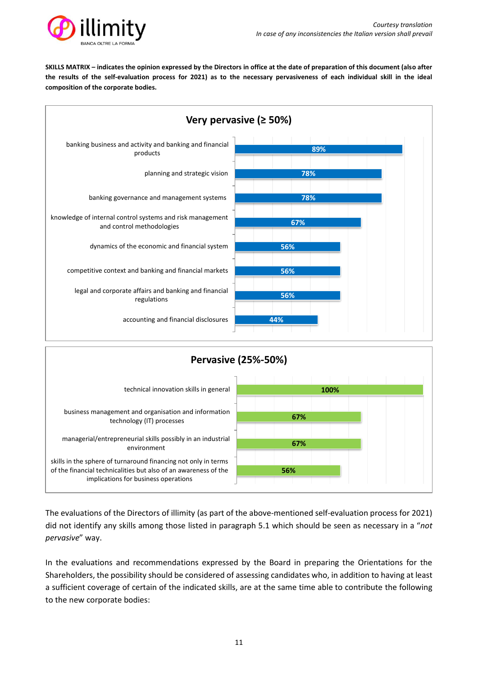

**SKILLS MATRIX – indicates the opinion expressed by the Directors in office at the date of preparation of this document (also after the results of the self-evaluation process for 2021) as to the necessary pervasiveness of each individual skill in the ideal composition of the corporate bodies.**





The evaluations of the Directors of illimity (as part of the above-mentioned self-evaluation process for 2021) did not identify any skills among those listed in paragraph 5.1 which should be seen as necessary in a "*not pervasive*" way.

In the evaluations and recommendations expressed by the Board in preparing the Orientations for the Shareholders, the possibility should be considered of assessing candidates who, in addition to having at least a sufficient coverage of certain of the indicated skills, are at the same time able to contribute the following to the new corporate bodies: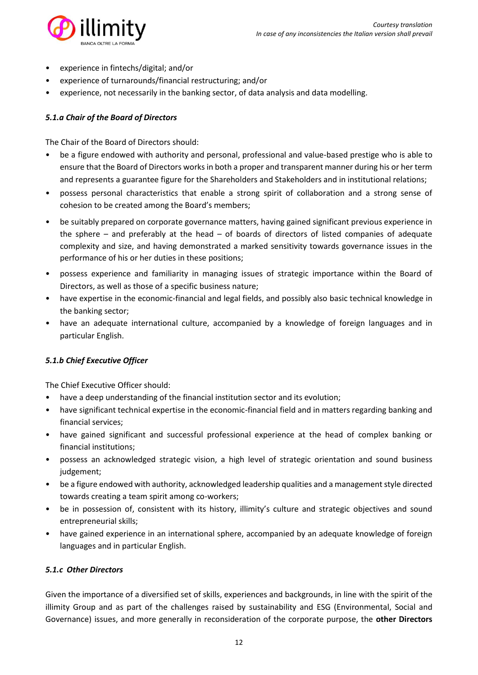

- experience in fintechs/digital; and/or
- experience of turnarounds/financial restructuring; and/or
- experience, not necessarily in the banking sector, of data analysis and data modelling.

# *5.1.a Chair of the Board of Directors*

The Chair of the Board of Directors should:

- be a figure endowed with authority and personal, professional and value-based prestige who is able to ensure that the Board of Directors works in both a proper and transparent manner during his or her term and represents a guarantee figure for the Shareholders and Stakeholders and in institutional relations;
- possess personal characteristics that enable a strong spirit of collaboration and a strong sense of cohesion to be created among the Board's members;
- be suitably prepared on corporate governance matters, having gained significant previous experience in the sphere – and preferably at the head – of boards of directors of listed companies of adequate complexity and size, and having demonstrated a marked sensitivity towards governance issues in the performance of his or her duties in these positions;
- possess experience and familiarity in managing issues of strategic importance within the Board of Directors, as well as those of a specific business nature;
- have expertise in the economic-financial and legal fields, and possibly also basic technical knowledge in the banking sector;
- have an adequate international culture, accompanied by a knowledge of foreign languages and in particular English.

# *5.1.b Chief Executive Officer*

The Chief Executive Officer should:

- have a deep understanding of the financial institution sector and its evolution;
- have significant technical expertise in the economic-financial field and in matters regarding banking and financial services;
- have gained significant and successful professional experience at the head of complex banking or financial institutions;
- possess an acknowledged strategic vision, a high level of strategic orientation and sound business judgement;
- be a figure endowed with authority, acknowledged leadership qualities and a management style directed towards creating a team spirit among co-workers;
- be in possession of, consistent with its history, illimity's culture and strategic objectives and sound entrepreneurial skills;
- have gained experience in an international sphere, accompanied by an adequate knowledge of foreign languages and in particular English.

# *5.1.c Other Directors*

Given the importance of a diversified set of skills, experiences and backgrounds, in line with the spirit of the illimity Group and as part of the challenges raised by sustainability and ESG (Environmental, Social and Governance) issues, and more generally in reconsideration of the corporate purpose, the **other Directors**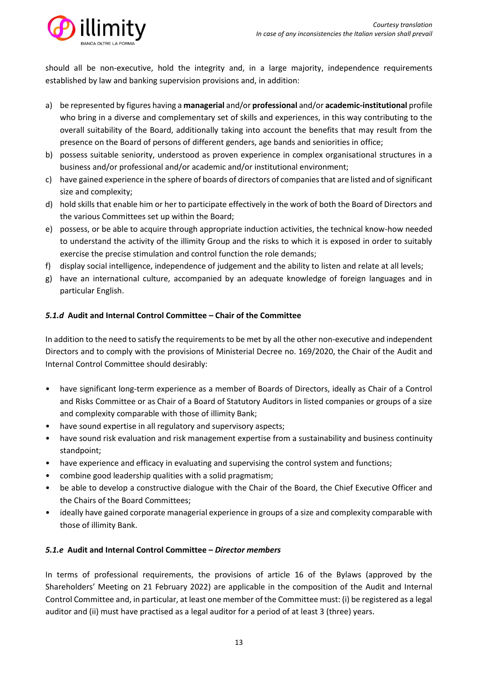

should all be non-executive, hold the integrity and, in a large majority, independence requirements established by law and banking supervision provisions and, in addition:

- a) be represented by figures having a **managerial** and/or **professional** and/or **academic-institutional** profile who bring in a diverse and complementary set of skills and experiences, in this way contributing to the overall suitability of the Board, additionally taking into account the benefits that may result from the presence on the Board of persons of different genders, age bands and seniorities in office;
- b) possess suitable seniority, understood as proven experience in complex organisational structures in a business and/or professional and/or academic and/or institutional environment;
- c) have gained experience in the sphere of boards of directors of companies that are listed and of significant size and complexity;
- d) hold skills that enable him or her to participate effectively in the work of both the Board of Directors and the various Committees set up within the Board;
- e) possess, or be able to acquire through appropriate induction activities, the technical know-how needed to understand the activity of the illimity Group and the risks to which it is exposed in order to suitably exercise the precise stimulation and control function the role demands;
- f) display social intelligence, independence of judgement and the ability to listen and relate at all levels;
- g) have an international culture, accompanied by an adequate knowledge of foreign languages and in particular English.

# *5.1.d* **Audit and Internal Control Committee – Chair of the Committee**

In addition to the need to satisfy the requirements to be met by all the other non-executive and independent Directors and to comply with the provisions of Ministerial Decree no. 169/2020, the Chair of the Audit and Internal Control Committee should desirably:

- have significant long-term experience as a member of Boards of Directors, ideally as Chair of a Control and Risks Committee or as Chair of a Board of Statutory Auditors in listed companies or groups of a size and complexity comparable with those of illimity Bank;
- have sound expertise in all regulatory and supervisory aspects;
- have sound risk evaluation and risk management expertise from a sustainability and business continuity standpoint;
- have experience and efficacy in evaluating and supervising the control system and functions;
- combine good leadership qualities with a solid pragmatism;
- be able to develop a constructive dialogue with the Chair of the Board, the Chief Executive Officer and the Chairs of the Board Committees;
- ideally have gained corporate managerial experience in groups of a size and complexity comparable with those of illimity Bank.

# *5.1.e* **Audit and Internal Control Committee –** *Director members*

In terms of professional requirements, the provisions of article 16 of the Bylaws (approved by the Shareholders' Meeting on 21 February 2022) are applicable in the composition of the Audit and Internal Control Committee and, in particular, at least one member of the Committee must: (i) be registered as a legal auditor and (ii) must have practised as a legal auditor for a period of at least 3 (three) years.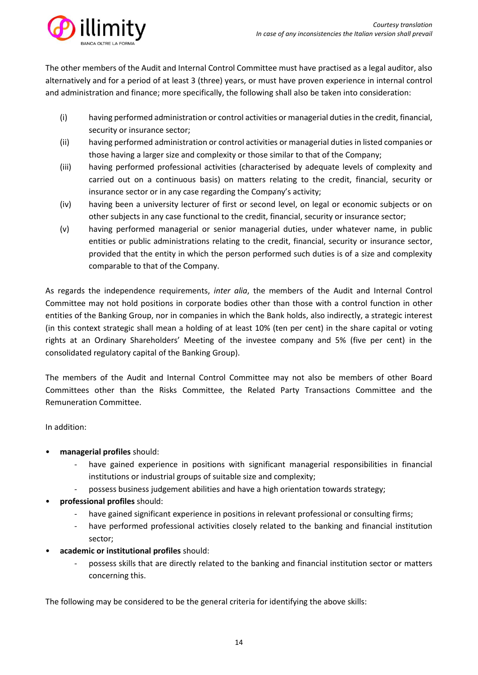

The other members of the Audit and Internal Control Committee must have practised as a legal auditor, also alternatively and for a period of at least 3 (three) years, or must have proven experience in internal control and administration and finance; more specifically, the following shall also be taken into consideration:

- (i) having performed administration or control activities or managerial duties in the credit, financial, security or insurance sector;
- (ii) having performed administration or control activities or managerial duties in listed companies or those having a larger size and complexity or those similar to that of the Company;
- (iii) having performed professional activities (characterised by adequate levels of complexity and carried out on a continuous basis) on matters relating to the credit, financial, security or insurance sector or in any case regarding the Company's activity;
- (iv) having been a university lecturer of first or second level, on legal or economic subjects or on other subjects in any case functional to the credit, financial, security or insurance sector;
- (v) having performed managerial or senior managerial duties, under whatever name, in public entities or public administrations relating to the credit, financial, security or insurance sector, provided that the entity in which the person performed such duties is of a size and complexity comparable to that of the Company.

As regards the independence requirements, *inter alia*, the members of the Audit and Internal Control Committee may not hold positions in corporate bodies other than those with a control function in other entities of the Banking Group, nor in companies in which the Bank holds, also indirectly, a strategic interest (in this context strategic shall mean a holding of at least 10% (ten per cent) in the share capital or voting rights at an Ordinary Shareholders' Meeting of the investee company and 5% (five per cent) in the consolidated regulatory capital of the Banking Group).

The members of the Audit and Internal Control Committee may not also be members of other Board Committees other than the Risks Committee, the Related Party Transactions Committee and the Remuneration Committee.

In addition:

- **managerial profiles** should:
	- have gained experience in positions with significant managerial responsibilities in financial institutions or industrial groups of suitable size and complexity;
	- possess business judgement abilities and have a high orientation towards strategy;
- **professional profiles** should:
	- have gained significant experience in positions in relevant professional or consulting firms;
	- have performed professional activities closely related to the banking and financial institution sector;
- **academic or institutional profiles** should:
	- possess skills that are directly related to the banking and financial institution sector or matters concerning this.

The following may be considered to be the general criteria for identifying the above skills: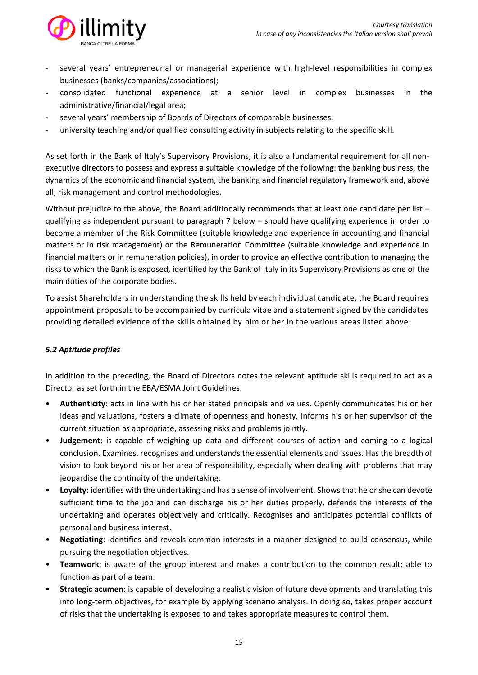

- several years' entrepreneurial or managerial experience with high-level responsibilities in complex businesses (banks/companies/associations);
- consolidated functional experience at a senior level in complex businesses in the administrative/financial/legal area;
- several years' membership of Boards of Directors of comparable businesses;
- university teaching and/or qualified consulting activity in subjects relating to the specific skill.

As set forth in the Bank of Italy's Supervisory Provisions, it is also a fundamental requirement for all nonexecutive directors to possess and express a suitable knowledge of the following: the banking business, the dynamics of the economic and financial system, the banking and financial regulatory framework and, above all, risk management and control methodologies.

Without prejudice to the above, the Board additionally recommends that at least one candidate per list – qualifying as independent pursuant to paragraph 7 below – should have qualifying experience in order to become a member of the Risk Committee (suitable knowledge and experience in accounting and financial matters or in risk management) or the Remuneration Committee (suitable knowledge and experience in financial matters or in remuneration policies), in order to provide an effective contribution to managing the risks to which the Bank is exposed, identified by the Bank of Italy in its Supervisory Provisions as one of the main duties of the corporate bodies.

To assist Shareholders in understanding the skills held by each individual candidate, the Board requires appointment proposals to be accompanied by curricula vitae and a statement signed by the candidates providing detailed evidence of the skills obtained by him or her in the various areas listed above.

# *5.2 Aptitude profiles*

In addition to the preceding, the Board of Directors notes the relevant aptitude skills required to act as a Director as set forth in the EBA/ESMA Joint Guidelines:

- **Authenticity**: acts in line with his or her stated principals and values. Openly communicates his or her ideas and valuations, fosters a climate of openness and honesty, informs his or her supervisor of the current situation as appropriate, assessing risks and problems jointly.
- **Judgement**: is capable of weighing up data and different courses of action and coming to a logical conclusion. Examines, recognises and understands the essential elements and issues. Has the breadth of vision to look beyond his or her area of responsibility, especially when dealing with problems that may jeopardise the continuity of the undertaking.
- **Loyalty**: identifies with the undertaking and has a sense of involvement. Shows that he or she can devote sufficient time to the job and can discharge his or her duties properly, defends the interests of the undertaking and operates objectively and critically. Recognises and anticipates potential conflicts of personal and business interest.
- **Negotiating**: identifies and reveals common interests in a manner designed to build consensus, while pursuing the negotiation objectives.
- **Teamwork**: is aware of the group interest and makes a contribution to the common result; able to function as part of a team.
- **Strategic acumen**: is capable of developing a realistic vision of future developments and translating this into long-term objectives, for example by applying scenario analysis. In doing so, takes proper account of risks that the undertaking is exposed to and takes appropriate measures to control them.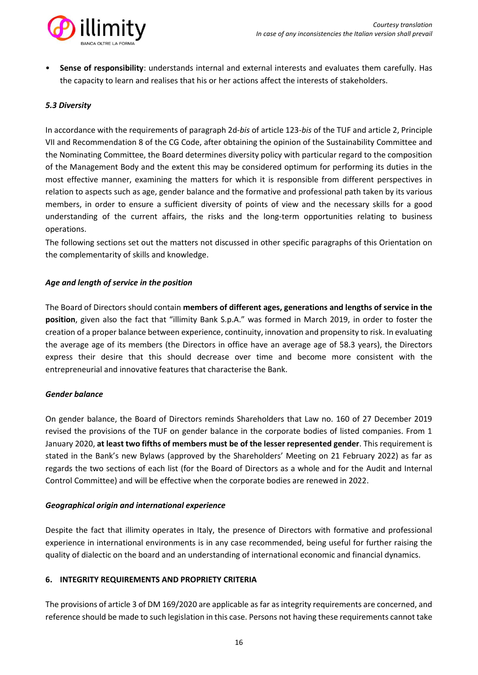

• **Sense of responsibility**: understands internal and external interests and evaluates them carefully. Has the capacity to learn and realises that his or her actions affect the interests of stakeholders.

# *5.3 Diversity*

In accordance with the requirements of paragraph 2d-*bis* of article 123-*bis* of the TUF and article 2, Principle VII and Recommendation 8 of the CG Code, after obtaining the opinion of the Sustainability Committee and the Nominating Committee, the Board determines diversity policy with particular regard to the composition of the Management Body and the extent this may be considered optimum for performing its duties in the most effective manner, examining the matters for which it is responsible from different perspectives in relation to aspects such as age, gender balance and the formative and professional path taken by its various members, in order to ensure a sufficient diversity of points of view and the necessary skills for a good understanding of the current affairs, the risks and the long-term opportunities relating to business operations.

The following sections set out the matters not discussed in other specific paragraphs of this Orientation on the complementarity of skills and knowledge.

#### *Age and length of service in the position*

The Board of Directors should contain **members of different ages, generations and lengths of service in the position**, given also the fact that "illimity Bank S.p.A." was formed in March 2019, in order to foster the creation of a proper balance between experience, continuity, innovation and propensity to risk. In evaluating the average age of its members (the Directors in office have an average age of 58.3 years), the Directors express their desire that this should decrease over time and become more consistent with the entrepreneurial and innovative features that characterise the Bank.

#### *Gender balance*

On gender balance, the Board of Directors reminds Shareholders that Law no. 160 of 27 December 2019 revised the provisions of the TUF on gender balance in the corporate bodies of listed companies. From 1 January 2020, **at least two fifths of members must be of the lesser represented gender**. This requirement is stated in the Bank's new Bylaws (approved by the Shareholders' Meeting on 21 February 2022) as far as regards the two sections of each list (for the Board of Directors as a whole and for the Audit and Internal Control Committee) and will be effective when the corporate bodies are renewed in 2022.

#### *Geographical origin and international experience*

Despite the fact that illimity operates in Italy, the presence of Directors with formative and professional experience in international environments is in any case recommended, being useful for further raising the quality of dialectic on the board and an understanding of international economic and financial dynamics.

#### **6. INTEGRITY REQUIREMENTS AND PROPRIETY CRITERIA**

The provisions of article 3 of DM 169/2020 are applicable as far as integrity requirements are concerned, and reference should be made to such legislation in this case. Persons not having these requirements cannot take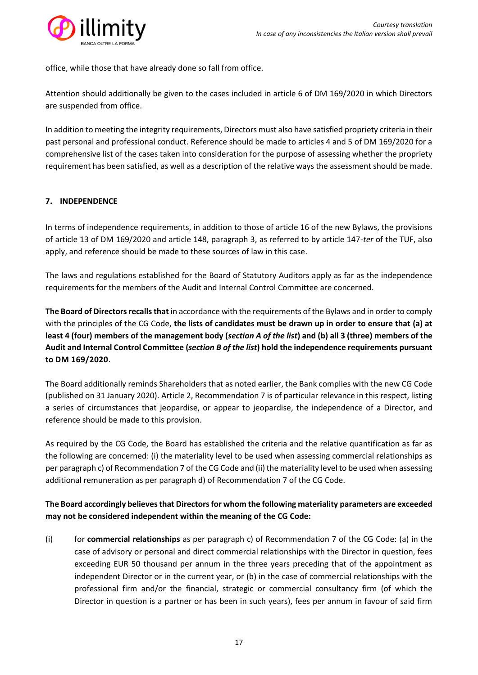

office, while those that have already done so fall from office.

Attention should additionally be given to the cases included in article 6 of DM 169/2020 in which Directors are suspended from office.

In addition to meeting the integrity requirements, Directors must also have satisfied propriety criteria in their past personal and professional conduct. Reference should be made to articles 4 and 5 of DM 169/2020 for a comprehensive list of the cases taken into consideration for the purpose of assessing whether the propriety requirement has been satisfied, as well as a description of the relative ways the assessment should be made.

# **7. INDEPENDENCE**

In terms of independence requirements, in addition to those of article 16 of the new Bylaws, the provisions of article 13 of DM 169/2020 and article 148, paragraph 3, as referred to by article 147-*ter* of the TUF, also apply, and reference should be made to these sources of law in this case.

The laws and regulations established for the Board of Statutory Auditors apply as far as the independence requirements for the members of the Audit and Internal Control Committee are concerned.

**The Board of Directors recalls that** in accordance with the requirements of the Bylaws and in order to comply with the principles of the CG Code, **the lists of candidates must be drawn up in order to ensure that (a) at least 4 (four) members of the management body (***section A of the list***) and (b) all 3 (three) members of the Audit and Internal Control Committee (***section B of the list***) hold the independence requirements pursuant to DM 169/2020**.

The Board additionally reminds Shareholders that as noted earlier, the Bank complies with the new CG Code (published on 31 January 2020). Article 2, Recommendation 7 is of particular relevance in this respect, listing a series of circumstances that jeopardise, or appear to jeopardise, the independence of a Director, and reference should be made to this provision.

As required by the CG Code, the Board has established the criteria and the relative quantification as far as the following are concerned: (i) the materiality level to be used when assessing commercial relationships as per paragraph c) of Recommendation 7 of the CG Code and (ii) the materiality level to be used when assessing additional remuneration as per paragraph d) of Recommendation 7 of the CG Code.

# **The Board accordingly believes that Directors for whom the following materiality parameters are exceeded may not be considered independent within the meaning of the CG Code:**

(i) for **commercial relationships** as per paragraph c) of Recommendation 7 of the CG Code: (a) in the case of advisory or personal and direct commercial relationships with the Director in question, fees exceeding EUR 50 thousand per annum in the three years preceding that of the appointment as independent Director or in the current year, or (b) in the case of commercial relationships with the professional firm and/or the financial, strategic or commercial consultancy firm (of which the Director in question is a partner or has been in such years), fees per annum in favour of said firm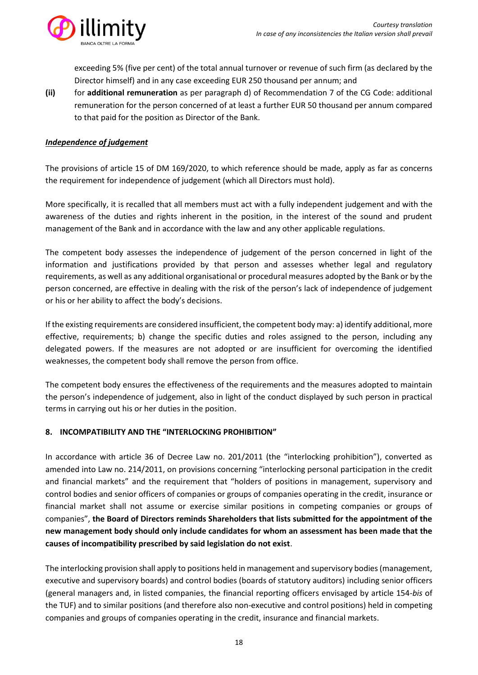

exceeding 5% (five per cent) of the total annual turnover or revenue of such firm (as declared by the Director himself) and in any case exceeding EUR 250 thousand per annum; and

**(ii)** for **additional remuneration** as per paragraph d) of Recommendation 7 of the CG Code: additional remuneration for the person concerned of at least a further EUR 50 thousand per annum compared to that paid for the position as Director of the Bank.

#### *Independence of judgement*

The provisions of article 15 of DM 169/2020, to which reference should be made, apply as far as concerns the requirement for independence of judgement (which all Directors must hold).

More specifically, it is recalled that all members must act with a fully independent judgement and with the awareness of the duties and rights inherent in the position, in the interest of the sound and prudent management of the Bank and in accordance with the law and any other applicable regulations.

The competent body assesses the independence of judgement of the person concerned in light of the information and justifications provided by that person and assesses whether legal and regulatory requirements, as well as any additional organisational or procedural measures adopted by the Bank or by the person concerned, are effective in dealing with the risk of the person's lack of independence of judgement or his or her ability to affect the body's decisions.

If the existing requirements are considered insufficient, the competent body may: a) identify additional, more effective, requirements; b) change the specific duties and roles assigned to the person, including any delegated powers. If the measures are not adopted or are insufficient for overcoming the identified weaknesses, the competent body shall remove the person from office.

The competent body ensures the effectiveness of the requirements and the measures adopted to maintain the person's independence of judgement, also in light of the conduct displayed by such person in practical terms in carrying out his or her duties in the position.

#### **8. INCOMPATIBILITY AND THE "INTERLOCKING PROHIBITION"**

In accordance with article 36 of Decree Law no. 201/2011 (the "interlocking prohibition"), converted as amended into Law no. 214/2011, on provisions concerning "interlocking personal participation in the credit and financial markets" and the requirement that "holders of positions in management, supervisory and control bodies and senior officers of companies or groups of companies operating in the credit, insurance or financial market shall not assume or exercise similar positions in competing companies or groups of companies", **the Board of Directors reminds Shareholders that lists submitted for the appointment of the new management body should only include candidates for whom an assessment has been made that the causes of incompatibility prescribed by said legislation do not exist**.

The interlocking provision shall apply to positions held in management and supervisory bodies (management, executive and supervisory boards) and control bodies (boards of statutory auditors) including senior officers (general managers and, in listed companies, the financial reporting officers envisaged by article 154-*bis* of the TUF) and to similar positions (and therefore also non-executive and control positions) held in competing companies and groups of companies operating in the credit, insurance and financial markets.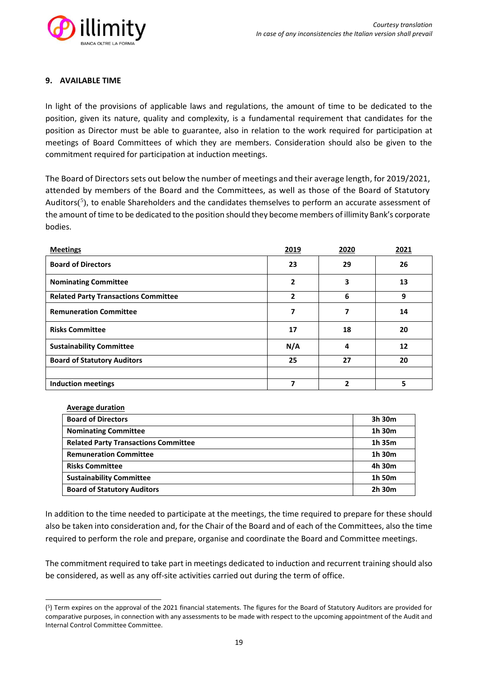

## **9. AVAILABLE TIME**

In light of the provisions of applicable laws and regulations, the amount of time to be dedicated to the position, given its nature, quality and complexity, is a fundamental requirement that candidates for the position as Director must be able to guarantee, also in relation to the work required for participation at meetings of Board Committees of which they are members. Consideration should also be given to the commitment required for participation at induction meetings.

The Board of Directors sets out below the number of meetings and their average length, for 2019/2021, attended by members of the Board and the Committees, as well as those of the Board of Statutory Auditors(<sup>5</sup>), to enable Shareholders and the candidates themselves to perform an accurate assessment of the amount of time to be dedicated to the position should they become members of illimity Bank's corporate bodies.

| <b>Meetings</b>                             | 2019         | 2020 | 2021 |
|---------------------------------------------|--------------|------|------|
| <b>Board of Directors</b>                   | 23           | 29   | 26   |
| <b>Nominating Committee</b>                 | 2            | 3    | 13   |
| <b>Related Party Transactions Committee</b> | $\mathbf{2}$ | 6    | 9    |
| <b>Remuneration Committee</b>               | 7            | 7    | 14   |
| <b>Risks Committee</b>                      | 17           | 18   | 20   |
| <b>Sustainability Committee</b>             | N/A          | 4    | 12   |
| <b>Board of Statutory Auditors</b>          | 25           | 27   | 20   |
|                                             |              |      |      |
| <b>Induction meetings</b>                   | 7            | 2    | 5    |

| <b>Average duration</b> |
|-------------------------|
|                         |

| <b>Board of Directors</b>                   | 3h 30m |
|---------------------------------------------|--------|
| <b>Nominating Committee</b>                 | 1h 30m |
| <b>Related Party Transactions Committee</b> | 1h 35m |
| <b>Remuneration Committee</b>               | 1h 30m |
| <b>Risks Committee</b>                      | 4h 30m |
| <b>Sustainability Committee</b>             | 1h 50m |
| <b>Board of Statutory Auditors</b>          | 2h 30m |

In addition to the time needed to participate at the meetings, the time required to prepare for these should also be taken into consideration and, for the Chair of the Board and of each of the Committees, also the time required to perform the role and prepare, organise and coordinate the Board and Committee meetings.

The commitment required to take part in meetings dedicated to induction and recurrent training should also be considered, as well as any off-site activities carried out during the term of office.

<sup>(</sup> 5 ) Term expires on the approval of the 2021 financial statements. The figures for the Board of Statutory Auditors are provided for comparative purposes, in connection with any assessments to be made with respect to the upcoming appointment of the Audit and Internal Control Committee Committee.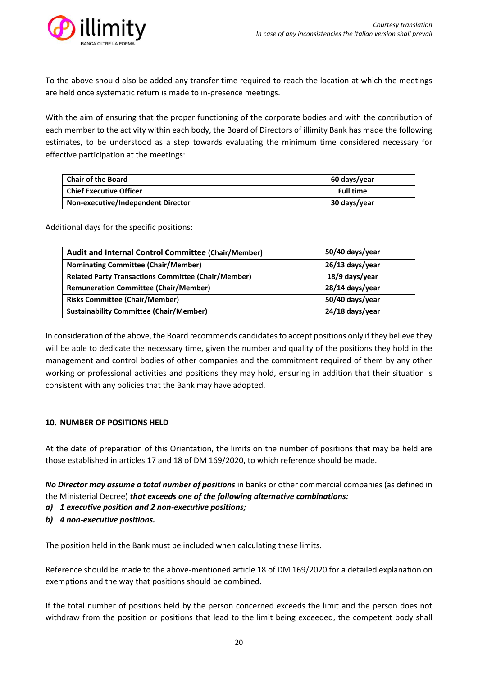

To the above should also be added any transfer time required to reach the location at which the meetings are held once systematic return is made to in-presence meetings.

With the aim of ensuring that the proper functioning of the corporate bodies and with the contribution of each member to the activity within each body, the Board of Directors of illimity Bank has made the following estimates, to be understood as a step towards evaluating the minimum time considered necessary for effective participation at the meetings:

| <b>Chair of the Board</b>                 | 60 days/year     |  |
|-------------------------------------------|------------------|--|
| <b>Chief Executive Officer</b>            | <b>Full time</b> |  |
| <b>Non-executive/Independent Director</b> | 30 days/year     |  |

Additional days for the specific positions:

| Audit and Internal Control Committee (Chair/Member)        | 50/40 days/year |
|------------------------------------------------------------|-----------------|
| <b>Nominating Committee (Chair/Member)</b>                 | 26/13 days/year |
| <b>Related Party Transactions Committee (Chair/Member)</b> | 18/9 days/year  |
| <b>Remuneration Committee (Chair/Member)</b>               | 28/14 days/year |
| <b>Risks Committee (Chair/Member)</b>                      | 50/40 days/year |
| <b>Sustainability Committee (Chair/Member)</b>             | 24/18 days/year |

In consideration of the above, the Board recommends candidates to accept positions only if they believe they will be able to dedicate the necessary time, given the number and quality of the positions they hold in the management and control bodies of other companies and the commitment required of them by any other working or professional activities and positions they may hold, ensuring in addition that their situation is consistent with any policies that the Bank may have adopted.

#### **10. NUMBER OF POSITIONS HELD**

At the date of preparation of this Orientation, the limits on the number of positions that may be held are those established in articles 17 and 18 of DM 169/2020, to which reference should be made.

*No Director may assume a total number of positions* in banks or other commercial companies (as defined in the Ministerial Decree) *that exceeds one of the following alternative combinations:*

- *a) 1 executive position and 2 non-executive positions;*
- *b) 4 non-executive positions.*

The position held in the Bank must be included when calculating these limits.

Reference should be made to the above-mentioned article 18 of DM 169/2020 for a detailed explanation on exemptions and the way that positions should be combined.

If the total number of positions held by the person concerned exceeds the limit and the person does not withdraw from the position or positions that lead to the limit being exceeded, the competent body shall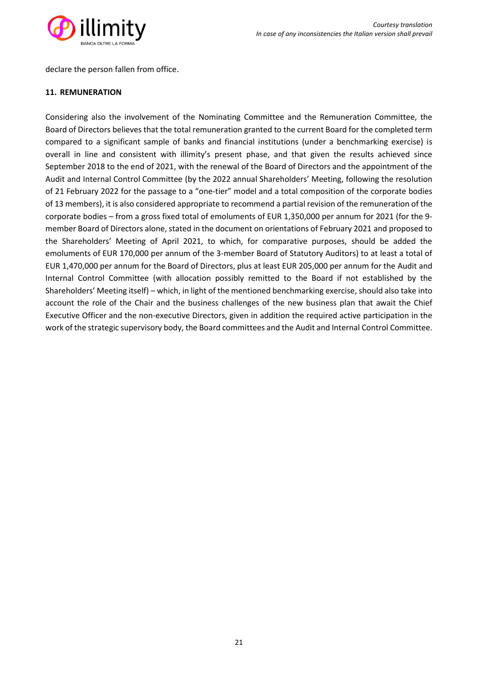

declare the person fallen from office.

#### **11. REMUNERATION**

Considering also the involvement of the Nominating Committee and the Remuneration Committee, the Board of Directors believes that the total remuneration granted to the current Board for the completed term compared to a significant sample of banks and financial institutions (under a benchmarking exercise) is overall in line and consistent with illimity's present phase, and that given the results achieved since September 2018 to the end of 2021, with the renewal of the Board of Directors and the appointment of the Audit and Internal Control Committee (by the 2022 annual Shareholders' Meeting, following the resolution of 21 February 2022 for the passage to a "one-tier" model and a total composition of the corporate bodies of 13 members), it is also considered appropriate to recommend a partial revision of the remuneration of the corporate bodies – from a gross fixed total of emoluments of EUR 1,350,000 per annum for 2021 (for the 9 member Board of Directors alone, stated in the document on orientations of February 2021 and proposed to the Shareholders' Meeting of April 2021, to which, for comparative purposes, should be added the emoluments of EUR 170,000 per annum of the 3-member Board of Statutory Auditors) to at least a total of EUR 1,470,000 per annum for the Board of Directors, plus at least EUR 205,000 per annum for the Audit and Internal Control Committee (with allocation possibly remitted to the Board if not established by the Shareholders' Meeting itself) – which, in light of the mentioned benchmarking exercise, should also take into account the role of the Chair and the business challenges of the new business plan that await the Chief Executive Officer and the non-executive Directors, given in addition the required active participation in the work of the strategic supervisory body, the Board committees and the Audit and Internal Control Committee.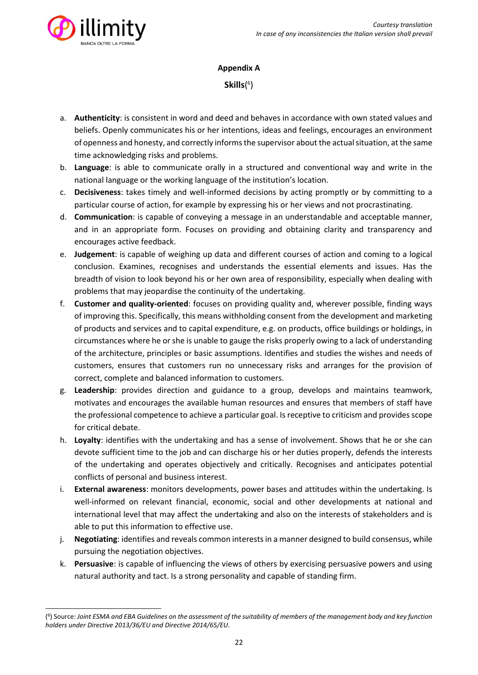

# **Appendix A**

**Skills**( 6 )

- a. **Authenticity**: is consistent in word and deed and behaves in accordance with own stated values and beliefs. Openly communicates his or her intentions, ideas and feelings, encourages an environment of openness and honesty, and correctly informs the supervisor about the actual situation, at the same time acknowledging risks and problems.
- b. **Language**: is able to communicate orally in a structured and conventional way and write in the national language or the working language of the institution's location.
- c. **Decisiveness**: takes timely and well-informed decisions by acting promptly or by committing to a particular course of action, for example by expressing his or her views and not procrastinating.
- d. **Communication**: is capable of conveying a message in an understandable and acceptable manner, and in an appropriate form. Focuses on providing and obtaining clarity and transparency and encourages active feedback.
- e. **Judgement**: is capable of weighing up data and different courses of action and coming to a logical conclusion. Examines, recognises and understands the essential elements and issues. Has the breadth of vision to look beyond his or her own area of responsibility, especially when dealing with problems that may jeopardise the continuity of the undertaking.
- f. **Customer and quality-oriented**: focuses on providing quality and, wherever possible, finding ways of improving this. Specifically, this means withholding consent from the development and marketing of products and services and to capital expenditure, e.g. on products, office buildings or holdings, in circumstances where he or she is unable to gauge the risks properly owing to a lack of understanding of the architecture, principles or basic assumptions. Identifies and studies the wishes and needs of customers, ensures that customers run no unnecessary risks and arranges for the provision of correct, complete and balanced information to customers.
- g. **Leadership**: provides direction and guidance to a group, develops and maintains teamwork, motivates and encourages the available human resources and ensures that members of staff have the professional competence to achieve a particular goal. Is receptive to criticism and provides scope for critical debate.
- h. **Loyalty**: identifies with the undertaking and has a sense of involvement. Shows that he or she can devote sufficient time to the job and can discharge his or her duties properly, defends the interests of the undertaking and operates objectively and critically. Recognises and anticipates potential conflicts of personal and business interest.
- i. **External awareness**: monitors developments, power bases and attitudes within the undertaking. Is well-informed on relevant financial, economic, social and other developments at national and international level that may affect the undertaking and also on the interests of stakeholders and is able to put this information to effective use.
- j. **Negotiating**: identifies and reveals common interests in a manner designed to build consensus, while pursuing the negotiation objectives.
- k. **Persuasive**: is capable of influencing the views of others by exercising persuasive powers and using natural authority and tact. Is a strong personality and capable of standing firm.

<sup>(</sup> 6 ) Source: *Joint ESMA and EBA Guidelines on the assessment of the suitability of members of the management body and key function holders under Directive 2013/36/EU and Directive 2014/65/EU*.